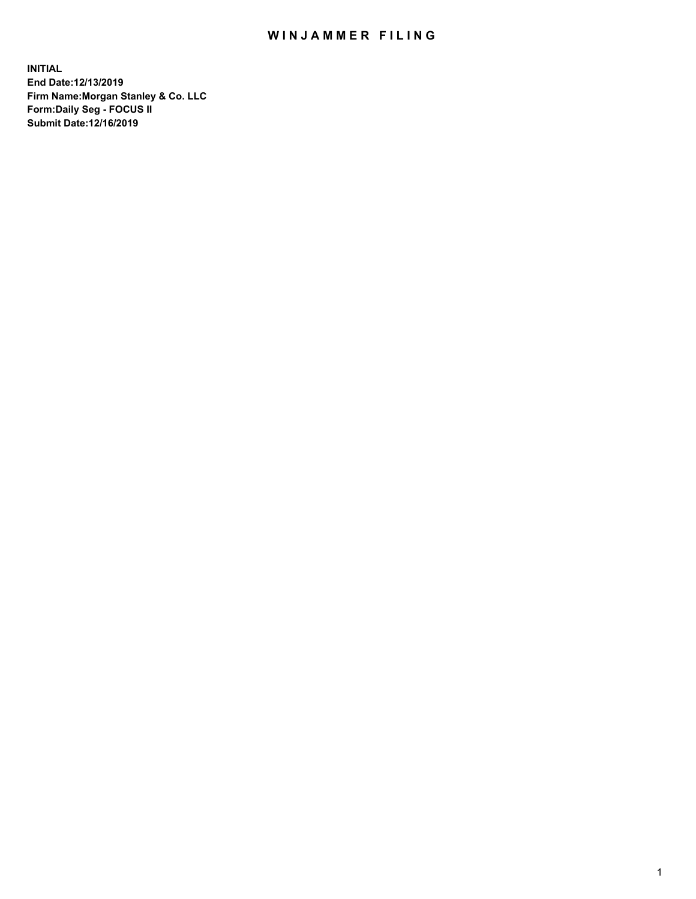## WIN JAMMER FILING

**INITIAL End Date:12/13/2019 Firm Name:Morgan Stanley & Co. LLC Form:Daily Seg - FOCUS II Submit Date:12/16/2019**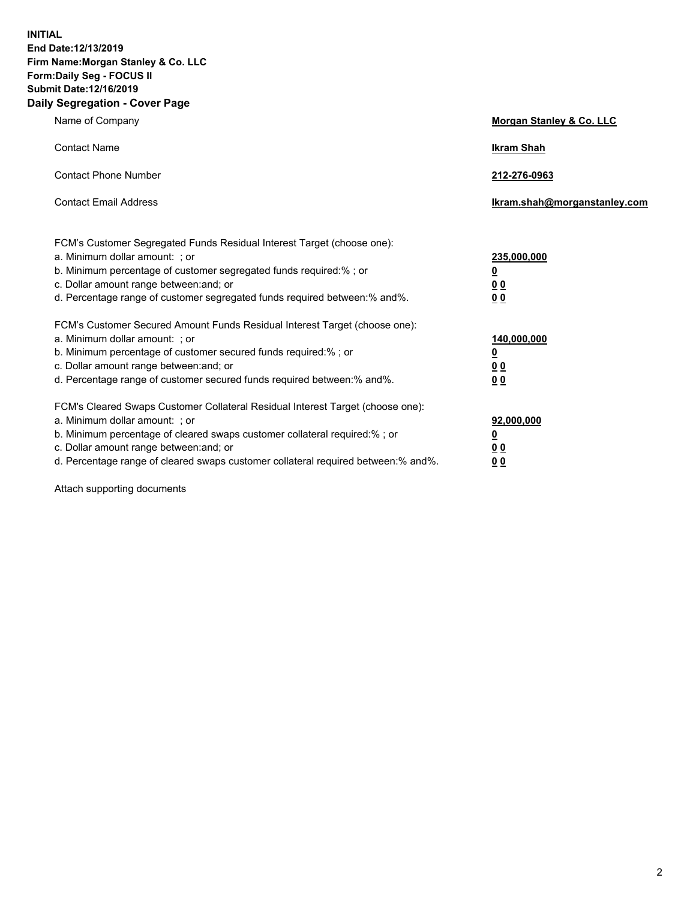**INITIAL End Date:12/13/2019 Firm Name:Morgan Stanley & Co. LLC Form:Daily Seg - FOCUS II Submit Date:12/16/2019 Daily Segregation - Cover Page**

| Name of Company                                                                                                                                                                                                                                                                                                                | Morgan Stanley & Co. LLC                               |
|--------------------------------------------------------------------------------------------------------------------------------------------------------------------------------------------------------------------------------------------------------------------------------------------------------------------------------|--------------------------------------------------------|
| <b>Contact Name</b>                                                                                                                                                                                                                                                                                                            | <b>Ikram Shah</b>                                      |
| <b>Contact Phone Number</b>                                                                                                                                                                                                                                                                                                    | 212-276-0963                                           |
| <b>Contact Email Address</b>                                                                                                                                                                                                                                                                                                   | lkram.shah@morganstanley.com                           |
| FCM's Customer Segregated Funds Residual Interest Target (choose one):<br>a. Minimum dollar amount: ; or<br>b. Minimum percentage of customer segregated funds required:% ; or<br>c. Dollar amount range between: and; or<br>d. Percentage range of customer segregated funds required between:% and%.                         | 235,000,000<br><u>0</u><br><u>00</u><br>0 <sub>0</sub> |
| FCM's Customer Secured Amount Funds Residual Interest Target (choose one):<br>a. Minimum dollar amount: ; or<br>b. Minimum percentage of customer secured funds required:% ; or<br>c. Dollar amount range between: and; or<br>d. Percentage range of customer secured funds required between:% and%.                           | 140,000,000<br><u>0</u><br>0 <sub>0</sub><br>00        |
| FCM's Cleared Swaps Customer Collateral Residual Interest Target (choose one):<br>a. Minimum dollar amount: ; or<br>b. Minimum percentage of cleared swaps customer collateral required:% ; or<br>c. Dollar amount range between: and; or<br>d. Percentage range of cleared swaps customer collateral required between:% and%. | 92,000,000<br><u>0</u><br><u>00</u><br>00              |

Attach supporting documents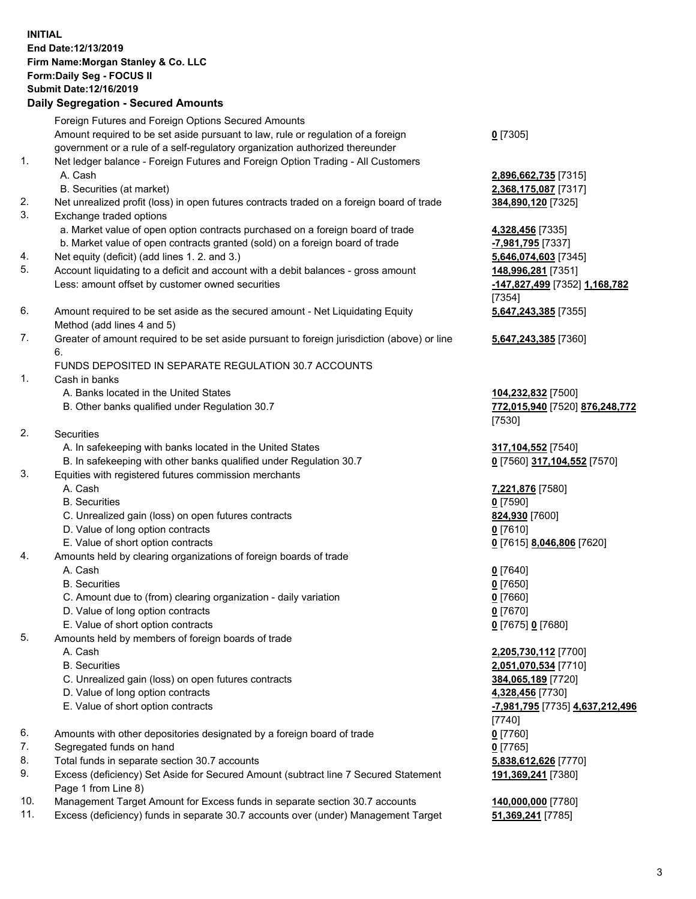## **INITIAL End Date:12/13/2019 Firm Name:Morgan Stanley & Co. LLC Form:Daily Seg - FOCUS II Submit Date:12/16/2019**

## **Daily Segregation - Secured Amounts**

Foreign Futures and Foreign Options Secured Amounts Amount required to be set aside pursuant to law, rule or regulation of a foreign government or a rule of a self-regulatory organization authorized thereunder 1. Net ledger balance - Foreign Futures and Foreign Option Trading - All Customers A. Cash **2,896,662,735** [7315] B. Securities (at market) **2,368,175,087** [7317] 2. Net unrealized profit (loss) in open futures contracts traded on a foreign board of trade **384,890,120** [7325] 3. Exchange traded options a. Market value of open option contracts purchased on a foreign board of trade **4,328,456** [7335] b. Market value of open contracts granted (sold) on a foreign board of trade **-7,981,795** [7337] 4. Net equity (deficit) (add lines 1. 2. and 3.) **5,646,074,603** [7345] 5. Account liquidating to a deficit and account with a debit balances - gross amount **148,996,281** [7351] Less: amount offset by customer owned securities **-147,827,499** [7352] **1,168,782** 6. Amount required to be set aside as the secured amount - Net Liquidating Equity Method (add lines 4 and 5) 7. Greater of amount required to be set aside pursuant to foreign jurisdiction (above) or line 6. FUNDS DEPOSITED IN SEPARATE REGULATION 30.7 ACCOUNTS

- 1. Cash in banks
	- A. Banks located in the United States **104,232,832** [7500]
	- B. Other banks qualified under Regulation 30.7 **772,015,940** [7520] **876,248,772**
- 2. Securities
	- A. In safekeeping with banks located in the United States **317,104,552** [7540]
	- B. In safekeeping with other banks qualified under Regulation 30.7 **0** [7560] **317,104,552** [7570]
- 3. Equities with registered futures commission merchants
	-
	- B. Securities **0** [7590]
	- C. Unrealized gain (loss) on open futures contracts **824,930** [7600]
	- D. Value of long option contracts **0** [7610]
- E. Value of short option contracts **0** [7615] **8,046,806** [7620]
- 4. Amounts held by clearing organizations of foreign boards of trade
	- A. Cash **0** [7640]
	- B. Securities **0** [7650]
	- C. Amount due to (from) clearing organization daily variation **0** [7660]
	- D. Value of long option contracts **0** [7670]
	- E. Value of short option contracts **0** [7675] **0** [7680]
- 5. Amounts held by members of foreign boards of trade
	-
	-
	- C. Unrealized gain (loss) on open futures contracts **384,065,189** [7720]
	- D. Value of long option contracts **4,328,456** [7730]
	- E. Value of short option contracts **-7,981,795** [7735] **4,637,212,496**
- 6. Amounts with other depositories designated by a foreign board of trade **0** [7760]
- 7. Segregated funds on hand **0** [7765]
- 8. Total funds in separate section 30.7 accounts **5,838,612,626** [7770]
- 9. Excess (deficiency) Set Aside for Secured Amount (subtract line 7 Secured Statement Page 1 from Line 8)
- 10. Management Target Amount for Excess funds in separate section 30.7 accounts **140,000,000** [7780]
- 11. Excess (deficiency) funds in separate 30.7 accounts over (under) Management Target **51,369,241** [7785]

**0** [7305]

[7354] **5,647,243,385** [7355]

**5,647,243,385** [7360]

[7530]

A. Cash **7,221,876** [7580]

 A. Cash **2,205,730,112** [7700] B. Securities **2,051,070,534** [7710] [7740] **191,369,241** [7380]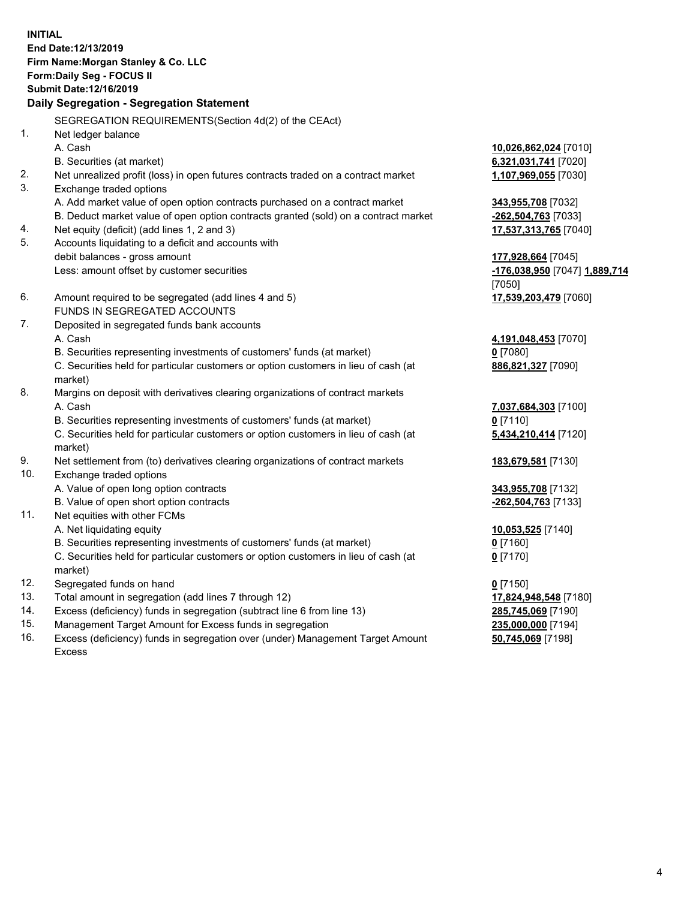**INITIAL End Date:12/13/2019 Firm Name:Morgan Stanley & Co. LLC Form:Daily Seg - FOCUS II Submit Date:12/16/2019 Daily Segregation - Segregation Statement** SEGREGATION REQUIREMENTS(Section 4d(2) of the CEAct) 1. Net ledger balance A. Cash **10,026,862,024** [7010] B. Securities (at market) **6,321,031,741** [7020] 2. Net unrealized profit (loss) in open futures contracts traded on a contract market **1,107,969,055** [7030] 3. Exchange traded options A. Add market value of open option contracts purchased on a contract market **343,955,708** [7032] B. Deduct market value of open option contracts granted (sold) on a contract market **-262,504,763** [7033] 4. Net equity (deficit) (add lines 1, 2 and 3) **17,537,313,765** [7040] 5. Accounts liquidating to a deficit and accounts with debit balances - gross amount **177,928,664** [7045] Less: amount offset by customer securities **-176,038,950** [7047] **1,889,714** [7050] 6. Amount required to be segregated (add lines 4 and 5) **17,539,203,479** [7060] FUNDS IN SEGREGATED ACCOUNTS 7. Deposited in segregated funds bank accounts A. Cash **4,191,048,453** [7070] B. Securities representing investments of customers' funds (at market) **0** [7080] C. Securities held for particular customers or option customers in lieu of cash (at market) **886,821,327** [7090] 8. Margins on deposit with derivatives clearing organizations of contract markets A. Cash **7,037,684,303** [7100] B. Securities representing investments of customers' funds (at market) **0** [7110] C. Securities held for particular customers or option customers in lieu of cash (at market) **5,434,210,414** [7120] 9. Net settlement from (to) derivatives clearing organizations of contract markets **183,679,581** [7130] 10. Exchange traded options A. Value of open long option contracts **343,955,708** [7132] B. Value of open short option contracts **-262,504,763** [7133] 11. Net equities with other FCMs A. Net liquidating equity **10,053,525** [7140] B. Securities representing investments of customers' funds (at market) **0** [7160] C. Securities held for particular customers or option customers in lieu of cash (at market) **0** [7170] 12. Segregated funds on hand **0** [7150] 13. Total amount in segregation (add lines 7 through 12) **17,824,948,548** [7180] 14. Excess (deficiency) funds in segregation (subtract line 6 from line 13) **285,745,069** [7190]

- 15. Management Target Amount for Excess funds in segregation **235,000,000** [7194]
- 16. Excess (deficiency) funds in segregation over (under) Management Target Amount Excess

**50,745,069** [7198]